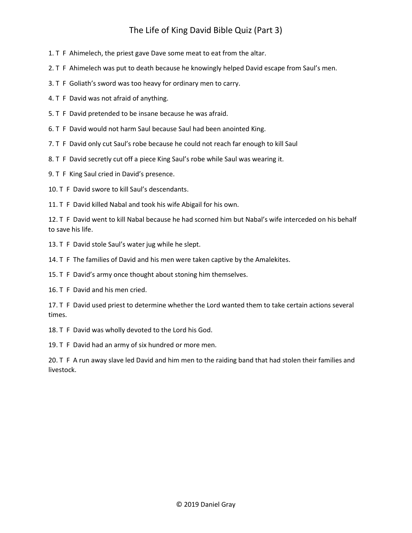## The Life of King David Bible Quiz (Part 3)

- 1. T F Ahimelech, the priest gave Dave some meat to eat from the altar.
- 2. T F Ahimelech was put to death because he knowingly helped David escape from Saul's men.
- 3. T F Goliath's sword was too heavy for ordinary men to carry.
- 4. T F David was not afraid of anything.
- 5. T F David pretended to be insane because he was afraid.
- 6. T F David would not harm Saul because Saul had been anointed King.
- 7. T F David only cut Saul's robe because he could not reach far enough to kill Saul
- 8. T F David secretly cut off a piece King Saul's robe while Saul was wearing it.
- 9. T F King Saul cried in David's presence.
- 10. T F David swore to kill Saul's descendants.
- 11. T F David killed Nabal and took his wife Abigail for his own.

12. T F David went to kill Nabal because he had scorned him but Nabal's wife interceded on his behalf to save his life.

13. T F David stole Saul's water jug while he slept.

- 14. T F The families of David and his men were taken captive by the Amalekites.
- 15. T F David's army once thought about stoning him themselves.

16. T F David and his men cried.

17. T F David used priest to determine whether the Lord wanted them to take certain actions several times.

18. T F David was wholly devoted to the Lord his God.

19. T F David had an army of six hundred or more men.

20. T F A run away slave led David and him men to the raiding band that had stolen their families and livestock.